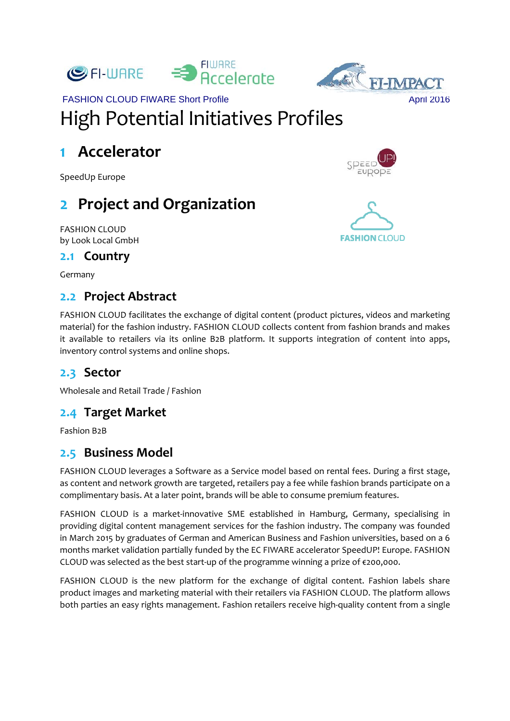



## FASHION CLOUD FIWARE Short Profile April 2016 High Potential Initiatives Profiles

### **1 Accelerator**

SpeedUp Europe

# **2 Project and Organization**

FASHION CLOUD by Look Local GmbH

#### **2.1 Country**

Germany

### **2.2 Project Abstract**

FASHION CLOUD facilitates the exchange of digital content (product pictures, videos and marketing material) for the fashion industry. FASHION CLOUD collects content from fashion brands and makes it available to retailers via its online B2B platform. It supports integration of content into apps, inventory control systems and online shops.

#### **2.3 Sector**

Wholesale and Retail Trade / Fashion

#### **2.4 Target Market**

Fashion B2B

#### **2.5 Business Model**

FASHION CLOUD leverages a Software as a Service model based on rental fees. During a first stage, as content and network growth are targeted, retailers pay a fee while fashion brands participate on a complimentary basis. At a later point, brands will be able to consume premium features.

FASHION CLOUD is a market-innovative SME established in Hamburg, Germany, specialising in providing digital content management services for the fashion industry. The company was founded in March 2015 by graduates of German and American Business and Fashion universities, based on a 6 months market validation partially funded by the EC FIWARE accelerator SpeedUP! Europe. FASHION CLOUD was selected as the best start-up of the programme winning a prize of  $\epsilon$ 200,000.

FASHION CLOUD is the new platform for the exchange of digital content. Fashion labels share product images and marketing material with their retailers via FASHION CLOUD. The platform allows both parties an easy rights management. Fashion retailers receive high-quality content from a single